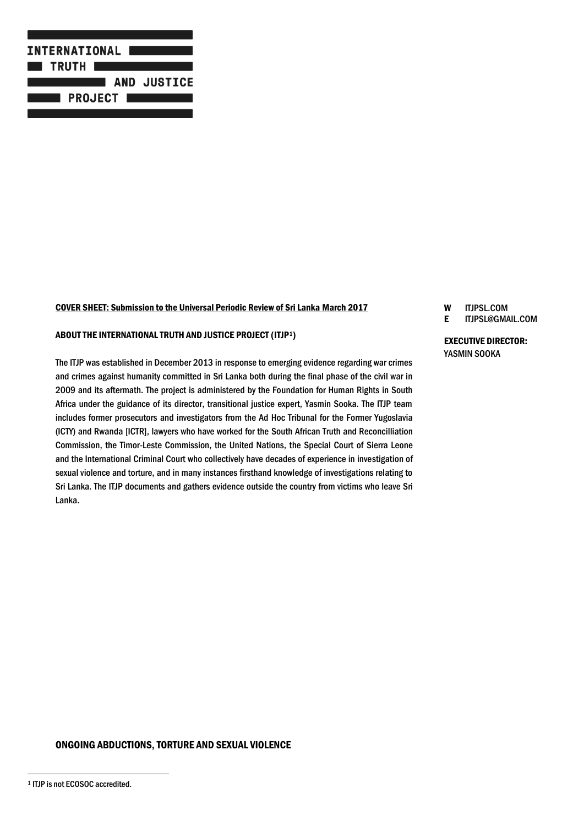

#### COVER SHEET: Submission to the Universal Periodic Review of Sri Lanka March 2017

#### ABOUT THE INTERNATIONAL TRUTH AND JUSTICE PROJECT (ITJP1)

The ITJP was established in December 2013 in response to emerging evidence regarding war crimes and crimes against humanity committed in Sri Lanka both during the final phase of the civil war in 2009 and its aftermath. The project is administered by the Foundation for Human Rights in South Africa under the guidance of its director, transitional justice expert, Yasmin Sooka. The ITJP team includes former prosecutors and investigators from the Ad Hoc Tribunal for the Former Yugoslavia (ICTY) and Rwanda [ICTR], lawyers who have worked for the South African Truth and Reconcilliation Commission, the Timor-Leste Commission, the United Nations, the Special Court of Sierra Leone and the International Criminal Court who collectively have decades of experience in investigation of sexual violence and torture, and in many instances firsthand knowledge of investigations relating to Sri Lanka. The ITJP documents and gathers evidence outside the country from victims who leave Sri Lanka.

# W ITJPSL.COM

# E ITJPSL@GMAIL.COM

EXECUTIVE DIRECTOR: YASMIN SOOKA

### ONGOING ABDUCTIONS, TORTURE AND SEXUAL VIOLENCE

 $\overline{a}$ 

<sup>1</sup> ITJP is not ECOSOC accredited.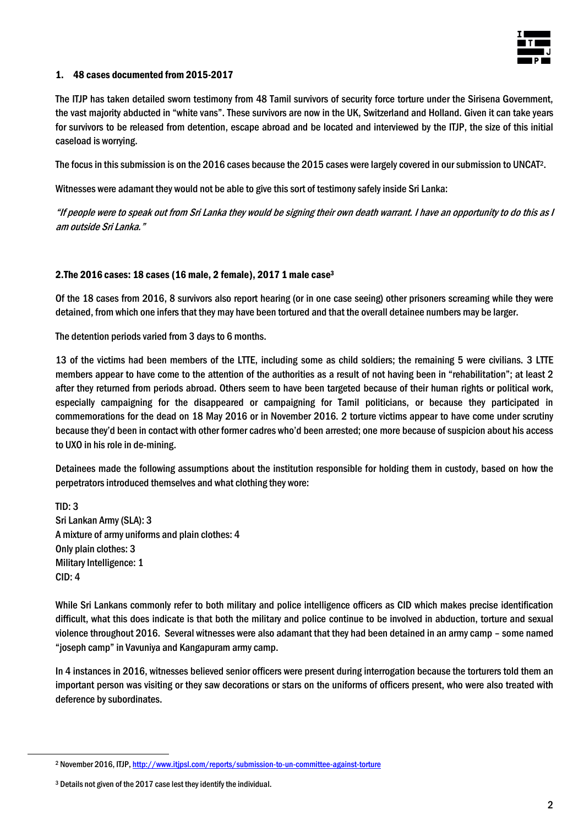

### 1. 48 cases documented from 2015-2017

The ITJP has taken detailed sworn testimony from 48 Tamil survivors of security force torture under the Sirisena Government, the vast majority abducted in "white vans". These survivors are now in the UK, Switzerland and Holland. Given it can take years for survivors to be released from detention, escape abroad and be located and interviewed by the ITJP, the size of this initial caseload is worrying.

The focus in this submission is on the 2016 cases because the 2015 cases were largely covered in oursubmission to UNCAT2.

Witnesses were adamant they would not be able to give this sort of testimony safely inside Sri Lanka:

"If people were to speak out from Sri Lanka they would be signing their own death warrant. I have an opportunity to do this as I am outside Sri Lanka."

#### 2.The 2016 cases: 18 cases (16 male, 2 female), 2017 1 male case<sup>3</sup>

Of the 18 cases from 2016, 8 survivors also report hearing (or in one case seeing) other prisoners screaming while they were detained, from which one infers that they may have been tortured and that the overall detainee numbers may be larger.

The detention periods varied from 3 days to 6 months.

13 of the victims had been members of the LTTE, including some as child soldiers; the remaining 5 were civilians. 3 LTTE members appear to have come to the attention of the authorities as a result of not having been in "rehabilitation"; at least 2 after they returned from periods abroad. Others seem to have been targeted because of their human rights or political work, especially campaigning for the disappeared or campaigning for Tamil politicians, or because they participated in commemorations for the dead on 18 May 2016 or in November 2016. 2 torture victims appear to have come under scrutiny because they'd been in contact with other former cadres who'd been arrested; one more because of suspicion about his access to UXO in his role in de-mining.

Detainees made the following assumptions about the institution responsible for holding them in custody, based on how the perpetrators introduced themselves and what clothing they wore:

TID: 3 Sri Lankan Army (SLA): 3 A mixture of army uniforms and plain clothes: 4 Only plain clothes: 3 Military Intelligence: 1 CID: 4

While Sri Lankans commonly refer to both military and police intelligence officers as CID which makes precise identification difficult, what this does indicate is that both the military and police continue to be involved in abduction, torture and sexual violence throughout 2016. Several witnesses were also adamant that they had been detained in an army camp – some named "joseph camp" in Vavuniya and Kangapuram army camp.

In 4 instances in 2016, witnesses believed senior officers were present during interrogation because the torturers told them an important person was visiting or they saw decorations or stars on the uniforms of officers present, who were also treated with deference by subordinates.

 $\overline{a}$ 

<sup>2</sup> November 2016, ITJP[, http://www.itjpsl.com/reports/submission-to-un-committee-against-torture](http://www.itjpsl.com/reports/submission-to-un-committee-against-torture)

<sup>3</sup> Details not given of the 2017 case lest they identify the individual.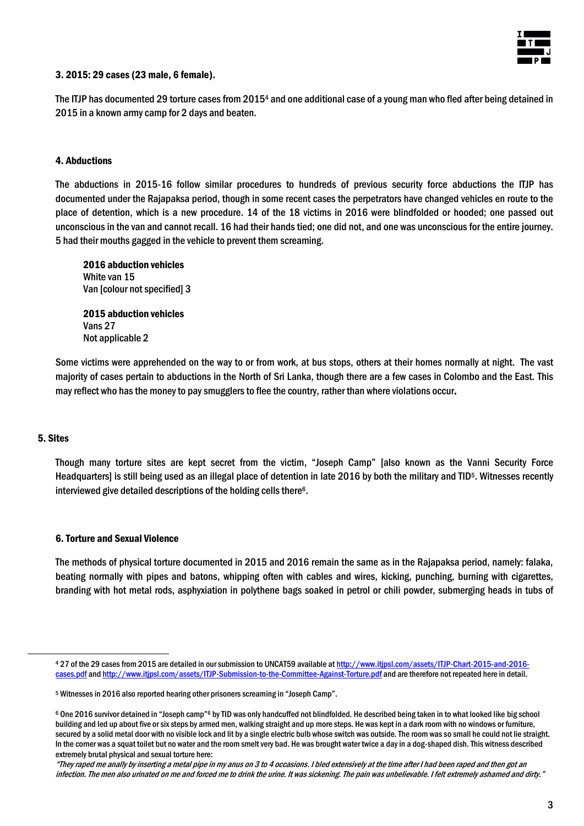

### 3. 2015: 29 cases (23 male, 6 female).

The ITJP has documented 29 torture cases from 2015<sup>4</sup> and one additional case of a young man who fled after being detained in 2015 in a known army camp for 2 days and beaten.

### 4. Abductions

The abductions in 2015-16 follow similar procedures to hundreds of previous security force abductions the ITJP has documented under the Rajapaksa period, though in some recent cases the perpetrators have changed vehicles en route to the place of detention, which is a new procedure. 14 of the 18 victims in 2016 were blindfolded or hooded; one passed out unconscious in the van and cannot recall. 16 had their hands tied; one did not, and one was unconscious for the entire journey. 5 had their mouths gagged in the vehicle to prevent them screaming.

2016 abduction vehicles White van 15 Van [colour not specified] 3

2015 abduction vehicles Vans 27 Not applicable 2

Some victims were apprehended on the way to or from work, at bus stops, others at their homes normally at night. The vast majority of cases pertain to abductions in the North of Sri Lanka, though there are a few cases in Colombo and the East. This may reflect who has the money to pay smugglers to flee the country, rather than where violations occur.

#### 5. Sites

 $\overline{a}$ 

Though many torture sites are kept secret from the victim, "Joseph Camp" [also known as the Vanni Security Force Headquarters] is still being used as an illegal place of detention in late 2016 by both the military and TID5. Witnesses recently interviewed give detailed descriptions of the holding cells there<sup>6</sup>.

#### 6. Torture and Sexual Violence

The methods of physical torture documented in 2015 and 2016 remain the same as in the Rajapaksa period, namely: falaka, beating normally with pipes and batons, whipping often with cables and wires, kicking, punching, burning with cigarettes, branding with hot metal rods, asphyxiation in polythene bags soaked in petrol or chili powder, submerging heads in tubs of

<sup>4</sup> 27 of the 29 cases from 2015 are detailed in our submission to UNCAT59 available a[t http://www.itjpsl.com/assets/ITJP-Chart-2015-and-2016](http://www.itjpsl.com/assets/ITJP-Chart-2015-and-2016-cases.pdf) [cases.pdf](http://www.itjpsl.com/assets/ITJP-Chart-2015-and-2016-cases.pdf) an[d http://www.itjpsl.com/assets/ITJP-Submission-to-the-Committee-Against-Torture.pdf](http://www.itjpsl.com/assets/ITJP-Submission-to-the-Committee-Against-Torture.pdf) and are therefore not repeated here in detail.

<sup>5</sup> Witnesses in 2016 also reported hearing other prisoners screaming in "Joseph Camp".

<sup>6</sup> One 2016 survivor detained in "Joseph camp"<sup>6</sup> by TID was only handcuffed not blindfolded. He described being taken in to what looked like big school building and led up about five or six steps by armed men, walking straight and up more steps. He was kept in a dark room with no windows or furniture, secured by a solid metal door with no visible lock and lit by a single electric bulb whose switch was outside. The room was so small he could not lie straight. In the corner was a squat toilet but no water and the room smelt very bad. He was brought water twice a day in a dog-shaped dish. This witness described extremely brutal physical and sexual torture here:

<sup>&</sup>quot;They raped me anally by inserting a metal pipe in my anus on 3 to 4 occasions. I bled extensively at the time after I had been raped and then got an infection. The men also urinated on me and forced me to drink the urine. It was sickening. The pain was unbelievable. I felt extremely ashamed and dirty."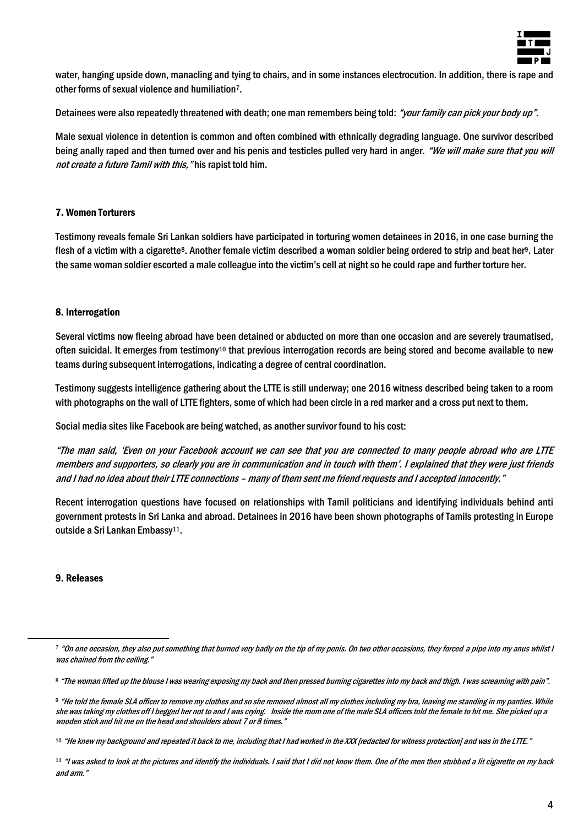

water, hanging upside down, manacling and tying to chairs, and in some instances electrocution. In addition, there is rape and other forms of sexual violence and humiliation7.

Detainees were also repeatedly threatened with death; one man remembers being told: "your family can pick your body up".

Male sexual violence in detention is common and often combined with ethnically degrading language. One survivor described being anally raped and then turned over and his penis and testicles pulled very hard in anger. "We will make sure that you will not create a future Tamil with this, "his rapist told him.

# 7. Women Torturers

Testimony reveals female Sri Lankan soldiers have participated in torturing women detainees in 2016, in one case burning the flesh of a victim with a cigarette<sup>8</sup>. Another female victim described a woman soldier being ordered to strip and beat her<sup>9</sup>. Later the same woman soldier escorted a male colleague into the victim's cell at night so he could rape and further torture her.

## 8. Interrogation

Several victims now fleeing abroad have been detained or abducted on more than one occasion and are severely traumatised, often suicidal. It emerges from testimony<sup>10</sup> that previous interrogation records are being stored and become available to new teams during subsequent interrogations, indicating a degree of central coordination.

Testimony suggests intelligence gathering about the LTTE is still underway; one 2016 witness described being taken to a room with photographs on the wall of LTTE fighters, some of which had been circle in a red marker and a cross put next to them.

Social media sites like Facebook are being watched, as another survivor found to his cost:

"The man said, 'Even on your Facebook account we can see that you are connected to many people abroad who are LTTE members and supporters, so clearly you are in communication and in touch with them'. I explained that they were just friends and I had no idea about their LTTE connections – many of them sent me friend requests and I accepted innocently."

Recent interrogation questions have focused on relationships with Tamil politicians and identifying individuals behind anti government protests in Sri Lanka and abroad. Detainees in 2016 have been shown photographs of Tamils protesting in Europe outside a Sri Lankan Embassy<sup>11</sup>.

## 9. Releases

 $\overline{a}$ 

<sup>7 &</sup>quot;On one occasion, they also put something that burned very badly on the tip of my penis. On two other occasions, they forced a pipe into my anus whilst I was chained from the ceiling."

<sup>8</sup> "The woman lifted up the blouse I was wearing exposing my back and then pressed burning cigarettes into my back and thigh. I was screaming with pain".

<sup>9</sup> "He told the female SLA officer to remove my clothes and so she removed almost all my clothes including my bra, leaving me standing in my panties. While she was taking my clothes off I begged her not to and I was crying. Inside the room one of the male SLA officers told the female to hit me. She picked up a wooden stick and hit me on the head and shoulders about 7 or 8 times."

<sup>10 &</sup>quot;He knew my background and repeated it back to me, including that I had worked in the XXX [redacted for witness protection] and was in the LTTE."

<sup>&</sup>lt;sup>11</sup> "I was asked to look at the pictures and identify the individuals. I said that I did not know them. One of the men then stubbed a lit cigarette on my back and arm."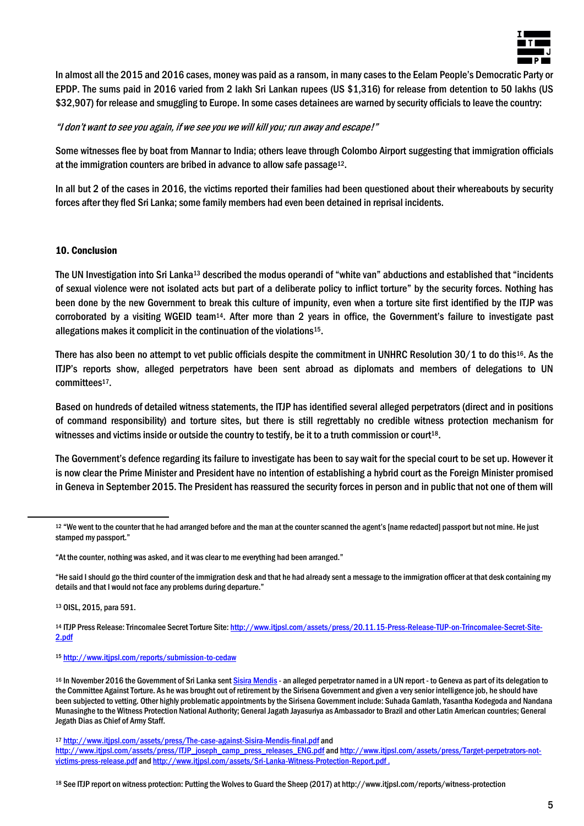

In almost all the 2015 and 2016 cases, money was paid as a ransom, in many cases to the Eelam People's Democratic Party or EPDP. The sums paid in 2016 varied from 2 lakh Sri Lankan rupees (US \$1,316) for release from detention to 50 lakhs (US \$32,907) for release and smuggling to Europe. In some cases detainees are warned by security officials to leave the country:

## "I don't want to see you again, if we see you we will kill you; run away and escape!"

Some witnesses flee by boat from Mannar to India; others leave through Colombo Airport suggesting that immigration officials at the immigration counters are bribed in advance to allow safe passage12.

In all but 2 of the cases in 2016, the victims reported their families had been questioned about their whereabouts by security forces after they fled Sri Lanka; some family members had even been detained in reprisal incidents.

## 10. Conclusion

The UN Investigation into Sri Lanka<sup>13</sup> described the modus operandi of "white van" abductions and established that "incidents of sexual violence were not isolated acts but part of a deliberate policy to inflict torture" by the security forces. Nothing has been done by the new Government to break this culture of impunity, even when a torture site first identified by the ITJP was corroborated by a visiting WGEID team14. After more than 2 years in office, the Government's failure to investigate past allegations makes it complicit in the continuation of the violations15.

There has also been no attempt to vet public officials despite the commitment in UNHRC Resolution 30/1 to do this<sup>16</sup>. As the ITJP's reports show, alleged perpetrators have been sent abroad as diplomats and members of delegations to UN committees17.

Based on hundreds of detailed witness statements, the ITJP has identified several alleged perpetrators (direct and in positions of command responsibility) and torture sites, but there is still regrettably no credible witness protection mechanism for witnesses and victims inside or outside the country to testify, be it to a truth commission or court<sup>18</sup>.

The Government's defence regarding its failure to investigate has been to say wait for the special court to be set up. However it is now clear the Prime Minister and President have no intention of establishing a hybrid court as the Foreign Minister promised in Geneva in September 2015. The President has reassured the security forces in person and in public that not one of them will

"He said I should go the third counter of the immigration desk and that he had already sent a message to the immigration officer at that desk containing my details and that I would not face any problems during departure."

<sup>13</sup> OISL, 2015, para 591.

 $\overline{a}$ 

<sup>15</sup> <http://www.itjpsl.com/reports/submission-to-cedaw>

<sup>&</sup>lt;sup>12</sup> "We went to the counter that he had arranged before and the man at the counter scanned the agent's [name redacted] passport but not mine. He just stamped my passport."

<sup>&</sup>quot;At the counter, nothing was asked, and it was clear to me everything had been arranged."

<sup>14</sup> ITJP Press Release: Trincomalee Secret Torture Site[: http://www.itjpsl.com/assets/press/20.11.15-Press-Release-TIJP-on-Trincomalee-Secret-Site-](http://www.itjpsl.com/assets/press/20.11.15-Press-Release-TIJP-on-Trincomalee-Secret-Site-2.pdf)[2.pdf](http://www.itjpsl.com/assets/press/20.11.15-Press-Release-TIJP-on-Trincomalee-Secret-Site-2.pdf)

<sup>16</sup> In November 2016 the Government of Sri Lanka sent Sisira Mendis - an alleged perpetrator named in a UN report - to Geneva as part of its delegation to the Committee Against Torture. As he was brought out of retirement by the Sirisena Government and given a very senior intelligence job, he should have been subjected to vetting. Other highly problematic appointments by the Sirisena Government include: Suhada Gamlath, Yasantha Kodegoda and Nandana Munasinghe to the Witness Protection National Authority; General Jagath Jayasuriya as Ambassador to Brazil and other Latin American countries; General Jegath Dias as Chief of Army Staff.

<sup>17</sup> <http://www.itjpsl.com/assets/press/The-case-against-Sisira-Mendis-final.pdf> and [http://www.itjpsl.com/assets/press/ITJP\\_joseph\\_camp\\_press\\_releases\\_ENG.pdf](http://www.itjpsl.com/assets/press/ITJP_joseph_camp_press_releases_ENG.pdf) an[d http://www.itjpsl.com/assets/press/Target-perpetrators-not](http://www.itjpsl.com/assets/press/Target-perpetrators-not-victims-press-release.pdf)[victims-press-release.pdf](http://www.itjpsl.com/assets/press/Target-perpetrators-not-victims-press-release.pdf) an[d http://www.itjpsl.com/assets/Sri-Lanka-Witness-Protection-Report.pdf](http://www.itjpsl.com/assets/Sri-Lanka-Witness-Protection-Report.pdf) .

<sup>18</sup> See ITJP report on witness protection: Putting the Wolves to Guard the Sheep (2017) at http://www.itjpsl.com/reports/witness-protection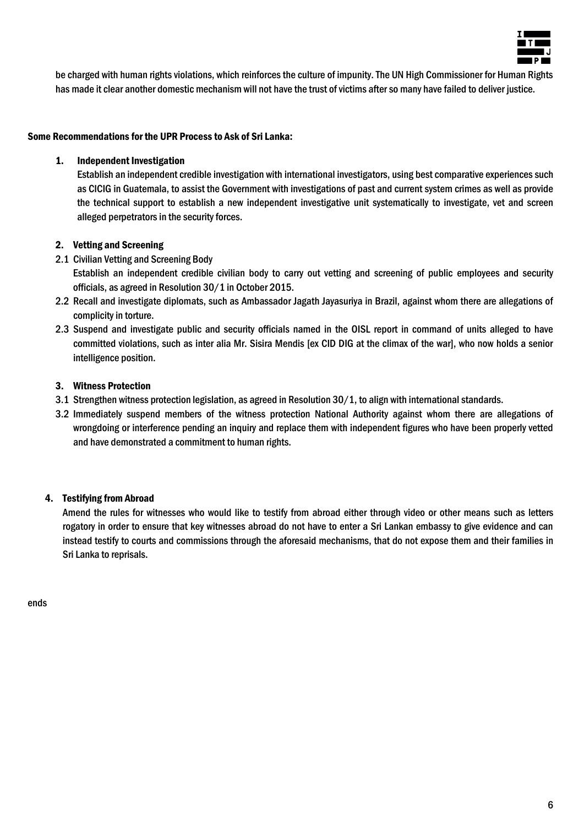

be charged with human rights violations, which reinforces the culture of impunity. The UN High Commissioner for Human Rights has made it clear another domestic mechanism will not have the trust of victims after so many have failed to deliver justice.

# Some Recommendations for the UPR Process to Ask of Sri Lanka:

# 1. Independent Investigation

Establish an independent credible investigation with international investigators, using best comparative experiences such as CICIG in Guatemala, to assist the Government with investigations of past and current system crimes as well as provide the technical support to establish a new independent investigative unit systematically to investigate, vet and screen alleged perpetrators in the security forces.

# 2. Vetting and Screening

- 2.1 Civilian Vetting and Screening Body
	- Establish an independent credible civilian body to carry out vetting and screening of public employees and security officials, as agreed in Resolution 30/1 in October 2015.
- 2.2 Recall and investigate diplomats, such as Ambassador Jagath Jayasuriya in Brazil, against whom there are allegations of complicity in torture.
- 2.3 Suspend and investigate public and security officials named in the OISL report in command of units alleged to have committed violations, such as inter alia Mr. Sisira Mendis [ex CID DIG at the climax of the war], who now holds a senior intelligence position.

# 3. Witness Protection

- 3.1 Strengthen witness protection legislation, as agreed in Resolution 30/1, to align with international standards.
- 3.2 Immediately suspend members of the witness protection National Authority against whom there are allegations of wrongdoing or interference pending an inquiry and replace them with independent figures who have been properly vetted and have demonstrated a commitment to human rights.

# 4. Testifying from Abroad

Amend the rules for witnesses who would like to testify from abroad either through video or other means such as letters rogatory in order to ensure that key witnesses abroad do not have to enter a Sri Lankan embassy to give evidence and can instead testify to courts and commissions through the aforesaid mechanisms, that do not expose them and their families in Sri Lanka to reprisals.

ends